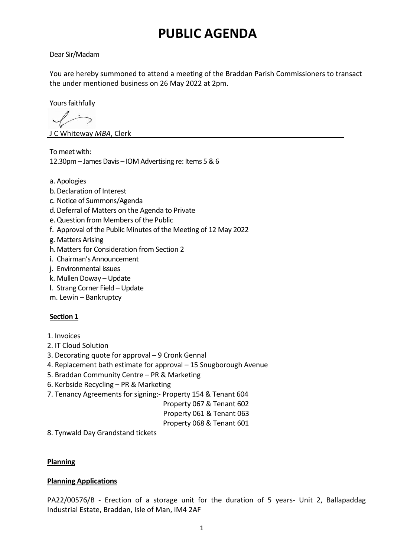# **PUBLIC AGENDA**

# Dear Sir/Madam

You are hereby summoned to attend a meeting of the Braddan Parish Commissioners to transact the under mentioned business on 26 May 2022 at 2pm.

Yours faithfully

 $\sqrt{2}$ 

J C Whiteway *MBA*, Clerk

To meet with: 12.30pm – James Davis – IOM Advertising re: Items 5 & 6

- a. Apologies
- b.Declaration of Interest
- c. Notice of Summons/Agenda
- d.Deferral of Matters on the Agenda to Private
- e.Question from Members of the Public
- f. Approval of the Public Minutes of the Meeting of 12 May 2022
- g. Matters Arising
- h.Matters for Consideration from Section 2
- i. Chairman's Announcement
- j. Environmental Issues
- k. Mullen Doway Update
- l. Strang Corner Field Update
- m. Lewin Bankruptcy

# **Section 1**

- 1. Invoices
- 2. IT Cloud Solution
- 3. Decorating quote for approval 9 Cronk Gennal
- 4. Replacement bath estimate for approval 15 Snugborough Avenue
- 5. Braddan Community Centre PR & Marketing
- 6. Kerbside Recycling PR & Marketing
- 7. Tenancy Agreements for signing:- Property 154 & Tenant 604
	- Property 067 & Tenant 602

#### Property 061 & Tenant 063

Property 068 & Tenant 601

8. Tynwald Day Grandstand tickets

#### **Planning**

#### **Planning Applications**

PA22/00576/B - Erection of a storage unit for the duration of 5 years- Unit 2, Ballapaddag Industrial Estate, Braddan, Isle of Man, IM4 2AF